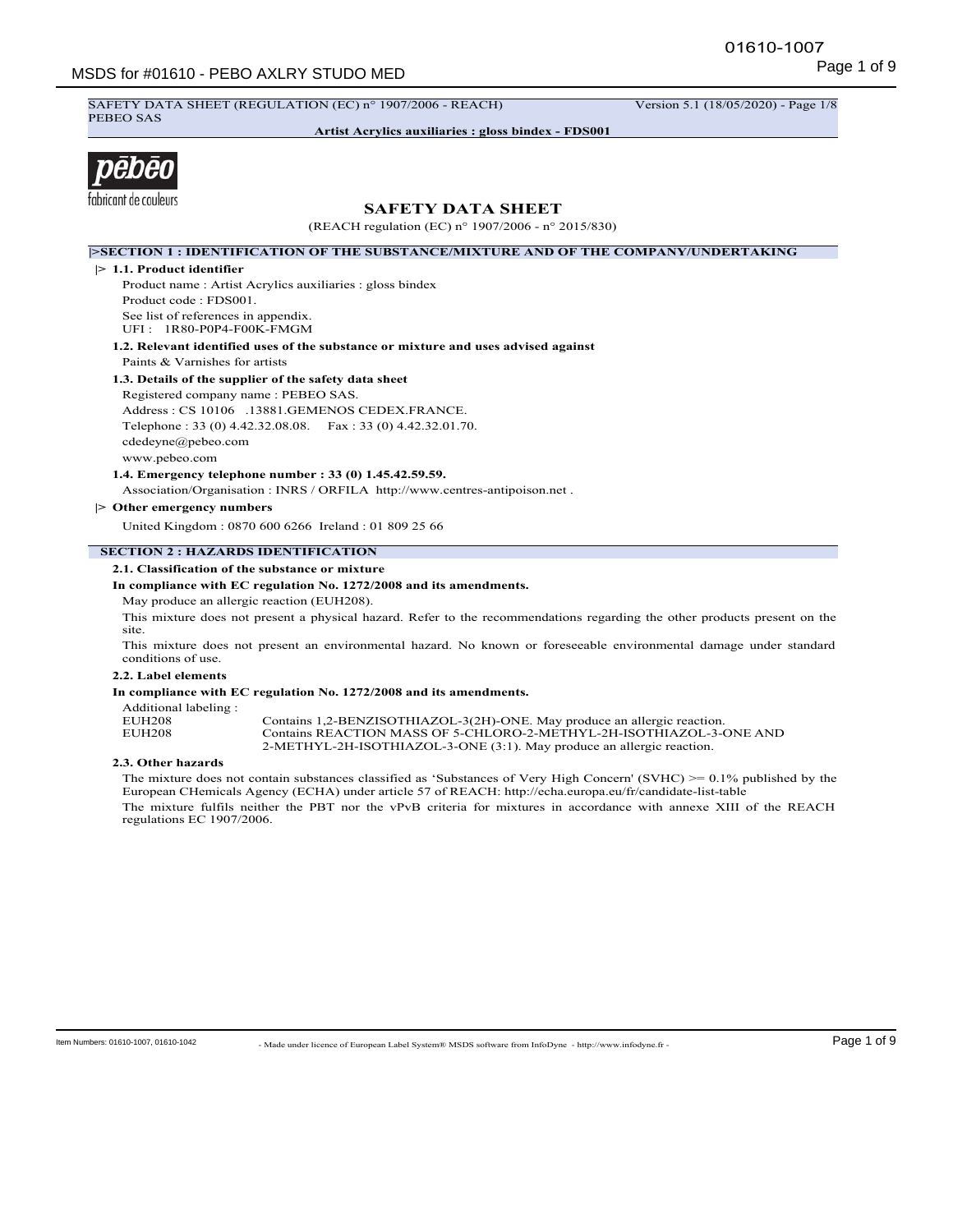SAFETY DATA SHEET (REGULATION (EC) n° 1907/2006 - REACH) Version 5.1 (18/05/2020) - Page 1/8 PEBEO SAS

**Artist Acrylics auxiliaries : gloss bindex - FDS001**



# **SAFETY DATA SHEET**

(REACH regulation (EC) n° 1907/2006 - n° 2015/830)

**|>SECTION 1 : IDENTIFICATION OF THE SUBSTANCE/MIXTURE AND OF THE COMPANY/UNDERTAKING**

**|> 1.1. Product identifier**

Product name : Artist Acrylics auxiliaries : gloss bindex Product code : FDS001. See list of references in appendix. UFI : 1R80-P0P4-F00K-FMGM

**1.2. Relevant identified uses of the substance or mixture and uses advised against** Paints & Varnishes for artists

**1.3. Details of the supplier of the safety data sheet** Registered company name : PEBEO SAS. Address : CS 10106 .13881.GEMENOS CEDEX.FRANCE. Telephone : 33 (0) 4.42.32.08.08. Fax : 33 (0) 4.42.32.01.70. cdedeyne@pebeo.com www.pebeo.com

**1.4. Emergency telephone number : 33 (0) 1.45.42.59.59.**

Association/Organisation : INRS / ORFILA http://www.centres-antipoison.net .

**|> Other emergency numbers**

United Kingdom : 0870 600 6266 Ireland : 01 809 25 66

# **SECTION 2 : HAZARDS IDENTIFICATION**

#### **2.1. Classification of the substance or mixture**

**In compliance with EC regulation No. 1272/2008 and its amendments.**

May produce an allergic reaction (EUH208).

This mixture does not present a physical hazard. Refer to the recommendations regarding the other products present on the site.

This mixture does not present an environmental hazard. No known or foreseeable environmental damage under standard conditions of use.

# **2.2. Label elements**

**In compliance with EC regulation No. 1272/2008 and its amendments.**

| Additional labeling: |                                                                          |
|----------------------|--------------------------------------------------------------------------|
| EUH208               | Contains 1,2-BENZISOTHIAZOL-3(2H)-ONE. May produce an allergic reaction. |
| EUH208               | Contains REACTION MASS OF 5-CHLORO-2-METHYL-2H-ISOTHIAZOL-3-ONE AND      |
|                      | 2-METHYL-2H-ISOTHIAZOL-3-ONE (3:1). May produce an allergic reaction.    |

#### **2.3. Other hazards**

The mixture does not contain substances classified as 'Substances of Very High Concern' (SVHC) >= 0.1% published by the European CHemicals Agency (ECHA) under article 57 of REACH: http://echa.europa.eu/fr/candidate-list-table The mixture fulfils neither the PBT nor the vPvB criteria for mixtures in accordance with annexe XIII of the REACH regulations EC 1907/2006.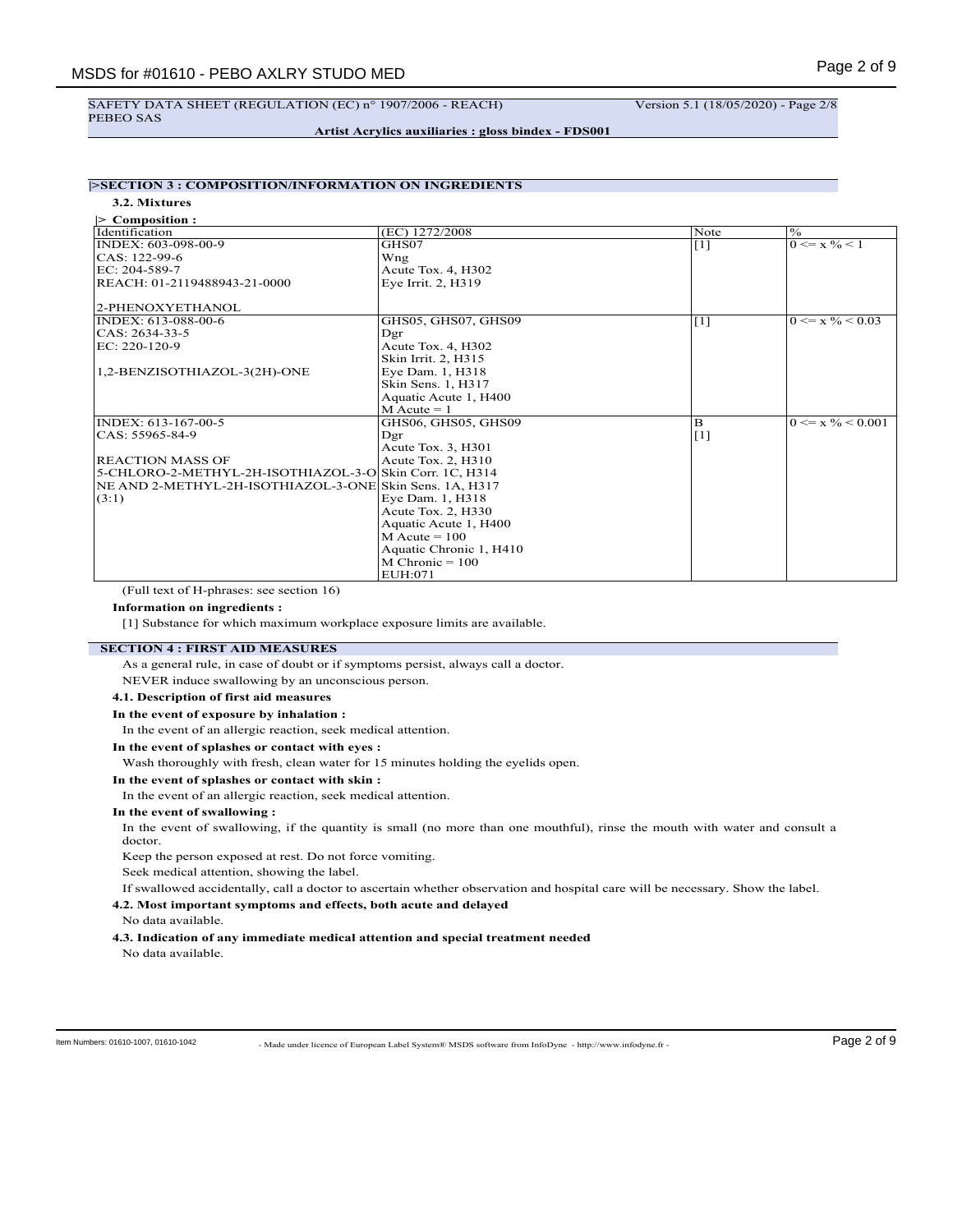#### SAFETY DATA SHEET (REGULATION (EC) n° 1907/2006 - REACH) Version 5.1 (18/05/2020) - Page 2/8 PEBEO SAS

## **Artist Acrylics auxiliaries : gloss bindex - FDS001**

# **|>SECTION 3 : COMPOSITION/INFORMATION ON INGREDIENTS**

**3.2. Mixtures**

| $\triangleright$ Composition :                          |                         |                   |                                 |
|---------------------------------------------------------|-------------------------|-------------------|---------------------------------|
| Identification                                          | (EC) 1272/2008          | Note              | $\sqrt[6]{\overline{6}}$        |
| INDEX: 603-098-00-9                                     | GHS07                   | $\lceil 1 \rceil$ | $0 \le x \frac{9}{6} < 1$       |
| $ CAS: 122-99-6$                                        | Wng                     |                   |                                 |
| EC: 204-589-7                                           | Acute Tox. 4, H302      |                   |                                 |
| REACH: 01-2119488943-21-0000                            | Eye Irrit. 2, H319      |                   |                                 |
|                                                         |                         |                   |                                 |
| 2-PHENOXYETHANOL                                        |                         |                   |                                 |
| INDEX: 613-088-00-6                                     | GHS05, GHS07, GHS09     | $\vert$ [1]       | $0 \le x \frac{9}{6} < 0.03$    |
| CAS: 2634-33-5                                          | Dgr                     |                   |                                 |
| EC: 220-120-9                                           | Acute Tox. 4, H302      |                   |                                 |
|                                                         | Skin Irrit. 2, H315     |                   |                                 |
| 1,2-BENZISOTHIAZOL-3(2H)-ONE                            | Eye Dam. 1, H318        |                   |                                 |
|                                                         | Skin Sens. 1, H317      |                   |                                 |
|                                                         | Aquatic Acute 1, H400   |                   |                                 |
|                                                         | $M$ Acute = 1           |                   |                                 |
| INDEX: 613-167-00-5                                     | GHS06, GHS05, GHS09     | B                 | $0 \le x \frac{9}{6} \le 0.001$ |
| CAS: 55965-84-9                                         | Der                     | $\vert$ [1]       |                                 |
|                                                         | Acute Tox. 3, H301      |                   |                                 |
| <b>REACTION MASS OF</b>                                 | Acute Tox. 2, H310      |                   |                                 |
| 5-CHLORO-2-METHYL-2H-ISOTHIAZOL-3-O Skin Corr. 1C, H314 |                         |                   |                                 |
| NE AND 2-METHYL-2H-ISOTHIAZOL-3-ONE Skin Sens. 1A, H317 |                         |                   |                                 |
| (3:1)                                                   | Eye Dam. 1, H318        |                   |                                 |
|                                                         | Acute Tox. 2, H330      |                   |                                 |
|                                                         | Aquatic Acute 1, H400   |                   |                                 |
|                                                         | $M$ Acute = 100         |                   |                                 |
|                                                         | Aquatic Chronic 1, H410 |                   |                                 |
|                                                         | $M$ Chronic = 100       |                   |                                 |
|                                                         | EUH:071                 |                   |                                 |

(Full text of H-phrases: see section 16)

## **Information on ingredients :**

[1] Substance for which maximum workplace exposure limits are available.

## **SECTION 4 : FIRST AID MEASURES**

As a general rule, in case of doubt or if symptoms persist, always call a doctor.

NEVER induce swallowing by an unconscious person.

# **4.1. Description of first aid measures**

#### **In the event of exposure by inhalation :**

In the event of an allergic reaction, seek medical attention.

## **In the event of splashes or contact with eyes :**

Wash thoroughly with fresh, clean water for 15 minutes holding the eyelids open.

## **In the event of splashes or contact with skin :**

In the event of an allergic reaction, seek medical attention.

## **In the event of swallowing :**

In the event of swallowing, if the quantity is small (no more than one mouthful), rinse the mouth with water and consult a doctor.

Keep the person exposed at rest. Do not force vomiting.

Seek medical attention, showing the label.

If swallowed accidentally, call a doctor to ascertain whether observation and hospital care will be necessary. Show the label.

**4.2. Most important symptoms and effects, both acute and delayed**

No data available.

# **4.3. Indication of any immediate medical attention and special treatment needed**

No data available.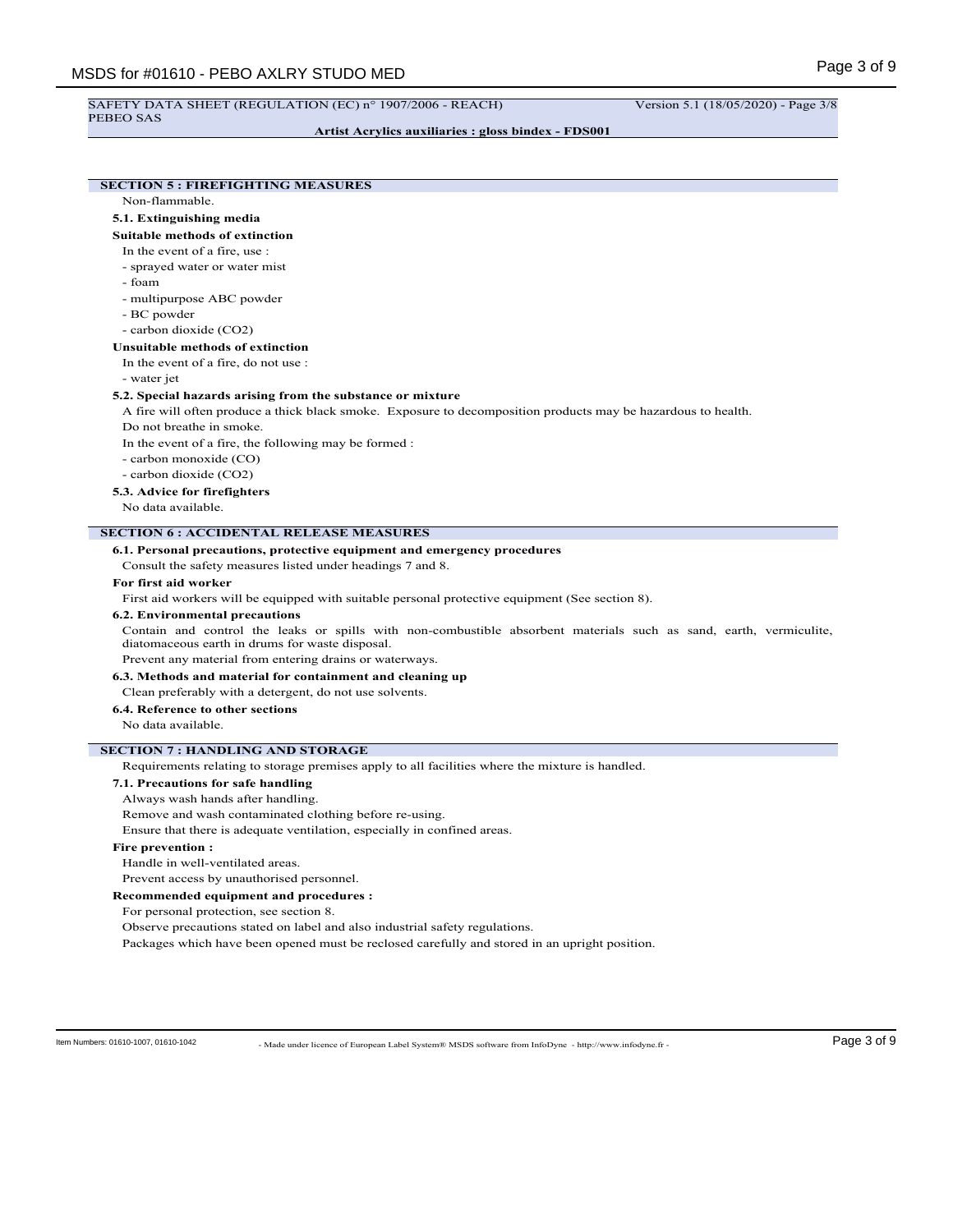PEBEO SAS

**Artist Acrylics auxiliaries : gloss bindex - FDS001**

# **SECTION 5 : FIREFIGHTING MEASURES**

Non-flammable.

## **5.1. Extinguishing media**

#### **Suitable methods of extinction**

In the event of a fire, use :

- sprayed water or water mist
- foam
- multipurpose ABC powder
- BC powder
- carbon dioxide (CO2)

# **Unsuitable methods of extinction**

In the event of a fire, do not use :

- water jet

## **5.2. Special hazards arising from the substance or mixture**

A fire will often produce a thick black smoke. Exposure to decomposition products may be hazardous to health. Do not breathe in smoke.

In the event of a fire, the following may be formed :

- carbon monoxide (CO)
- carbon dioxide (CO2)

**5.3. Advice for firefighters**

No data available.

## **SECTION 6 : ACCIDENTAL RELEASE MEASURES**

#### **6.1. Personal precautions, protective equipment and emergency procedures**

Consult the safety measures listed under headings 7 and 8.

#### **For first aid worker**

First aid workers will be equipped with suitable personal protective equipment (See section 8).

#### **6.2. Environmental precautions**

Contain and control the leaks or spills with non-combustible absorbent materials such as sand, earth, vermiculite, diatomaceous earth in drums for waste disposal.

Prevent any material from entering drains or waterways.

## **6.3. Methods and material for containment and cleaning up**

Clean preferably with a detergent, do not use solvents.

## **6.4. Reference to other sections**

No data available.

# **SECTION 7 : HANDLING AND STORAGE**

Requirements relating to storage premises apply to all facilities where the mixture is handled.

## **7.1. Precautions for safe handling**

Always wash hands after handling.

Remove and wash contaminated clothing before re-using.

Ensure that there is adequate ventilation, especially in confined areas.

#### **Fire prevention :**

Handle in well-ventilated areas.

Prevent access by unauthorised personnel.

**Recommended equipment and procedures :**

For personal protection, see section 8.

Observe precautions stated on label and also industrial safety regulations.

Packages which have been opened must be reclosed carefully and stored in an upright position.

ltem Numbers: 01610-1007, 01610-1042 - Made under licence of European Label System® MSDS software from InfoDyne - http://www.infodyne.fr - Page 3 of 9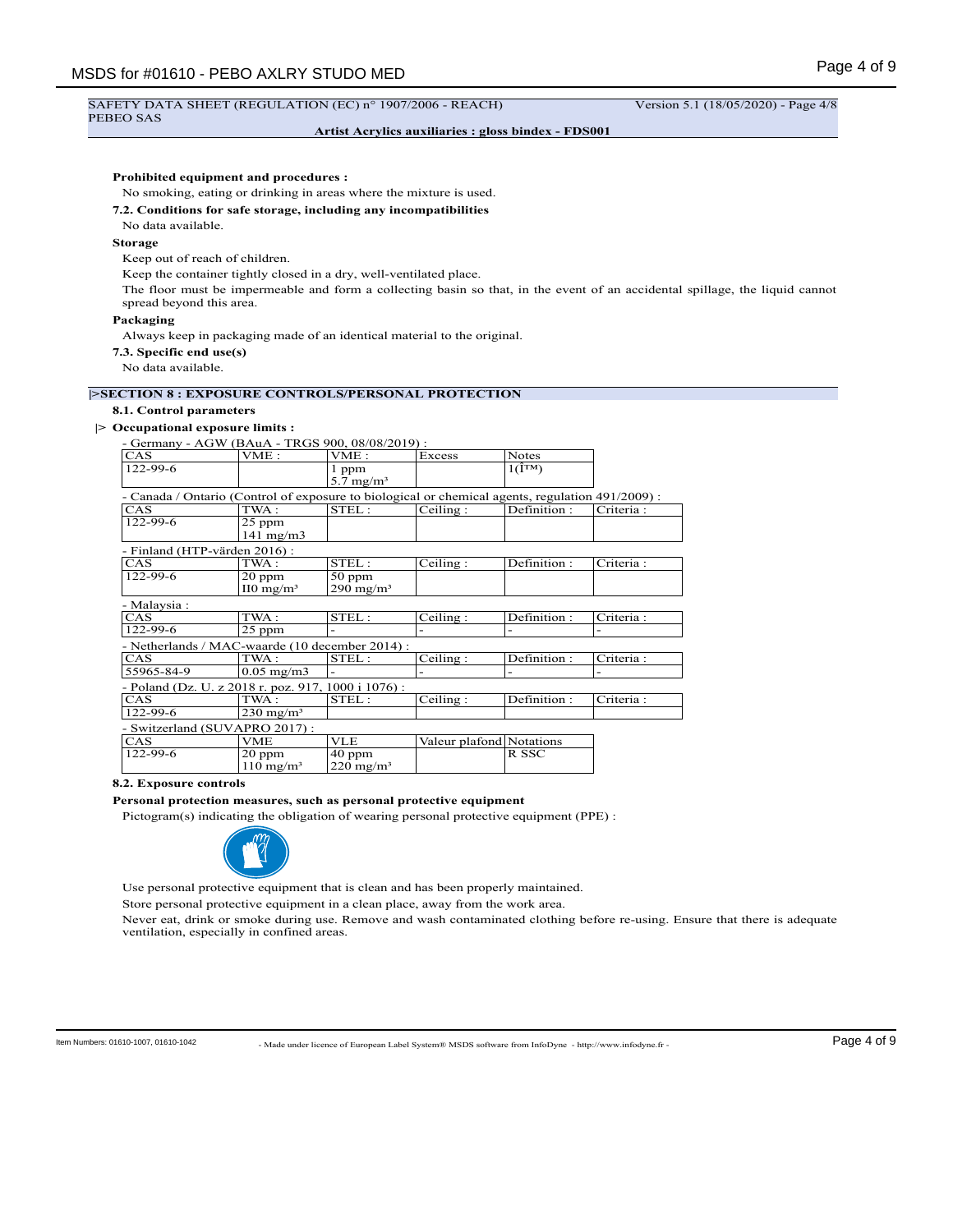PEBEO SAS

## **Artist Acrylics auxiliaries : gloss bindex - FDS001**

## **Prohibited equipment and procedures :**

No smoking, eating or drinking in areas where the mixture is used.

#### **7.2. Conditions for safe storage, including any incompatibilities**

No data available.

## **Storage**

Keep out of reach of children.

Keep the container tightly closed in a dry, well-ventilated place.

The floor must be impermeable and form a collecting basin so that, in the event of an accidental spillage, the liquid cannot spread beyond this area.

## **Packaging**

Always keep in packaging made of an identical material to the original.

**7.3. Specific end use(s)**

No data available.

## **|>SECTION 8 : EXPOSURE CONTROLS/PERSONAL PROTECTION**

## **8.1. Control parameters**

## **|> Occupational exposure limits :**

- Germany - AGW (BAuA - TRGS 900, 08/08/2019) :

| <b>CAS</b>                                                                                       | VME :                          | VME :                         | Excess                   | Notes                             |           |
|--------------------------------------------------------------------------------------------------|--------------------------------|-------------------------------|--------------------------|-----------------------------------|-----------|
| 122-99-6                                                                                         |                                | 1 ppm<br>$5.7 \text{ mg/m}^3$ |                          | $1(\hat{\mathbf{I}}^{\text{TM}})$ |           |
| - Canada / Ontario (Control of exposure to biological or chemical agents, regulation 491/2009) : |                                |                               |                          |                                   |           |
| CAS                                                                                              | TWA:                           | STEL:                         | Ceiling:                 | Definition:                       | Criteria: |
| 122-99-6                                                                                         | $25$ ppm<br>$141 \text{ mg/m}$ |                               |                          |                                   |           |
| - Finland (HTP-värden 2016):                                                                     |                                |                               |                          |                                   |           |
| CAS                                                                                              | TWA:                           | STEL:                         | Ceiling:                 | Definition:                       | Criteria: |
| 122-99-6                                                                                         | $20$ ppm                       | $50$ ppm                      |                          |                                   |           |
|                                                                                                  | $\text{II0} \text{ mg/m}^3$    | $290 \text{ mg/m}^3$          |                          |                                   |           |
| - Malaysia :                                                                                     |                                |                               |                          |                                   |           |
| CAS                                                                                              | TWA :                          | STEL:                         | Ceiling:                 | Definition:                       | Criteria: |
| 122-99-6                                                                                         | $25$ ppm                       |                               |                          |                                   |           |
| - Netherlands / MAC-waarde (10 december 2014) :                                                  |                                |                               |                          |                                   |           |
| CAS                                                                                              | TWA:                           | STEL:                         | Ceiling:                 | Definition:                       | Criteria: |
| 55965-84-9                                                                                       | $0.05$ mg/m $3$                |                               |                          |                                   |           |
| - Poland (Dz. U. z 2018 r. poz. 917, 1000 i 1076) :                                              |                                |                               |                          |                                   |           |
| CAS                                                                                              | TWA :                          | STEL:                         | Ceiling:                 | Definition:                       | Criteria: |
| 122-99-6                                                                                         | $230 \text{ mg/m}^3$           |                               |                          |                                   |           |
| - Switzerland (SUVAPRO 2017):                                                                    |                                |                               |                          |                                   |           |
| CAS                                                                                              | VME                            | <b>VLE</b>                    | Valeur plafond Notations |                                   |           |
| 122-99-6                                                                                         | $20$ ppm                       | $40$ ppm                      |                          | R SSC                             |           |
|                                                                                                  | $110 \text{ mg/m}^3$           | $220 \text{ mg/m}^3$          |                          |                                   |           |

## **8.2. Exposure controls**

#### **Personal protection measures, such as personal protective equipment**

Pictogram(s) indicating the obligation of wearing personal protective equipment (PPE) :



Use personal protective equipment that is clean and has been properly maintained.

Store personal protective equipment in a clean place, away from the work area.

Never eat, drink or smoke during use. Remove and wash contaminated clothing before re-using. Ensure that there is adequate ventilation, especially in confined areas.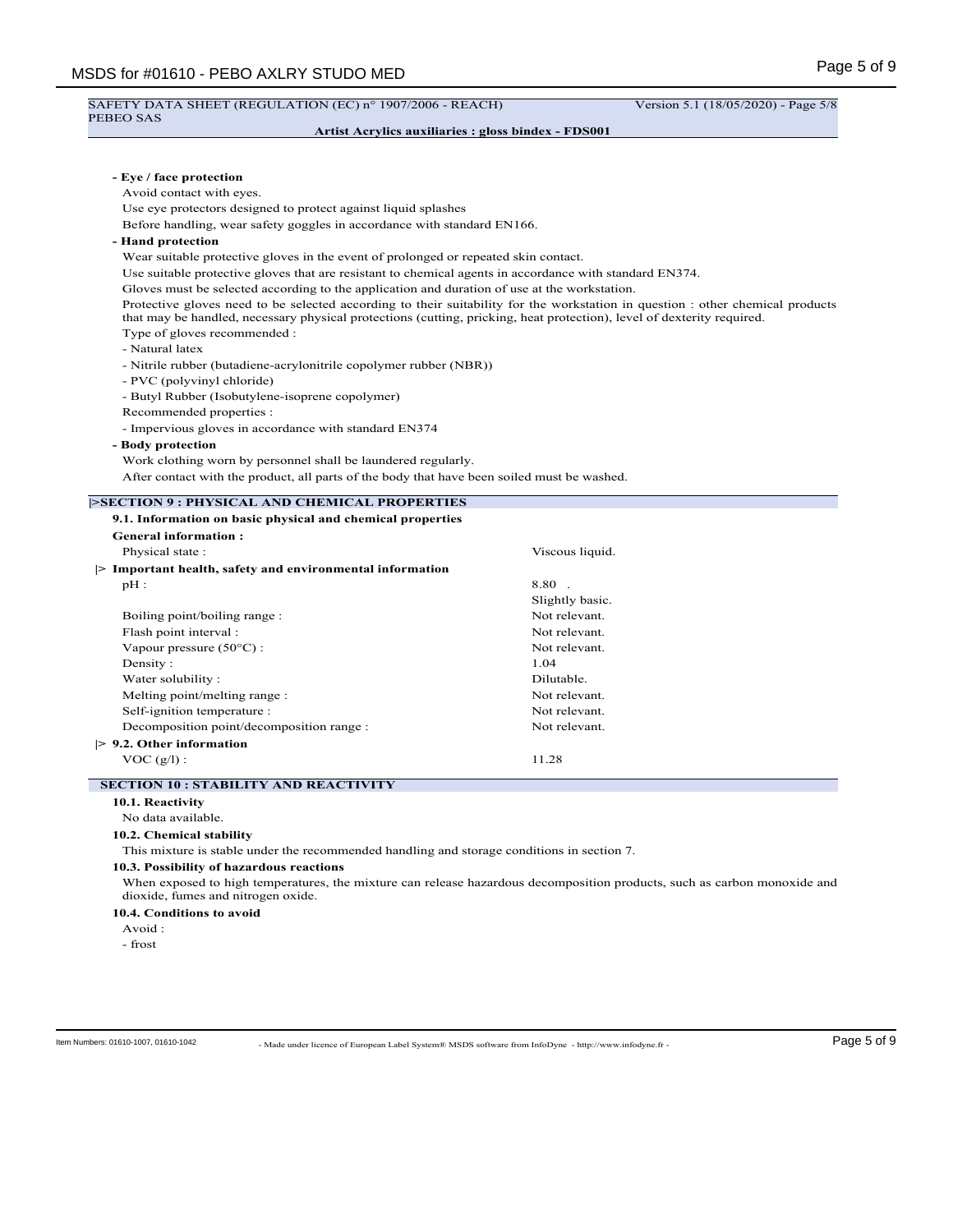# SAFETY DATA SHEET (REGULATION (EC) nº 1907/2006 - REACH) Version 5.1 (18/05/2020) - Page 5/8

# PEBEO SAS

# **Artist Acrylics auxiliaries : gloss bindex - FDS001**

| - Eye / face protection<br>Avoid contact with eyes.                                                                    |                                                                                                                                |
|------------------------------------------------------------------------------------------------------------------------|--------------------------------------------------------------------------------------------------------------------------------|
| Use eye protectors designed to protect against liquid splashes                                                         |                                                                                                                                |
| Before handling, wear safety goggles in accordance with standard EN166.                                                |                                                                                                                                |
| - Hand protection                                                                                                      |                                                                                                                                |
| Wear suitable protective gloves in the event of prolonged or repeated skin contact.                                    |                                                                                                                                |
| Use suitable protective gloves that are resistant to chemical agents in accordance with standard EN374.                |                                                                                                                                |
| Gloves must be selected according to the application and duration of use at the workstation.                           |                                                                                                                                |
| that may be handled, necessary physical protections (cutting, pricking, heat protection), level of dexterity required. | Protective gloves need to be selected according to their suitability for the workstation in question : other chemical products |
| Type of gloves recommended :<br>- Natural latex                                                                        |                                                                                                                                |
| - Nitrile rubber (butadiene-acrylonitrile copolymer rubber (NBR))                                                      |                                                                                                                                |
| - PVC (polyvinyl chloride)                                                                                             |                                                                                                                                |
| - Butyl Rubber (Isobutylene-isoprene copolymer)                                                                        |                                                                                                                                |
| Recommended properties :                                                                                               |                                                                                                                                |
| - Impervious gloves in accordance with standard EN374                                                                  |                                                                                                                                |
| - Body protection                                                                                                      |                                                                                                                                |
| Work clothing worn by personnel shall be laundered regularly.                                                          |                                                                                                                                |
| After contact with the product, all parts of the body that have been soiled must be washed.                            |                                                                                                                                |
| <b>SECTION 9 : PHYSICAL AND CHEMICAL PROPERTIES</b>                                                                    |                                                                                                                                |
| 9.1. Information on basic physical and chemical properties                                                             |                                                                                                                                |
| <b>General information:</b>                                                                                            |                                                                                                                                |
| Physical state:                                                                                                        | Viscous liquid.                                                                                                                |
| > Important health, safety and environmental information                                                               |                                                                                                                                |
| $pH$ :                                                                                                                 | 8.80.                                                                                                                          |
|                                                                                                                        | Slightly basic.                                                                                                                |
| Boiling point/boiling range :                                                                                          | Not relevant.                                                                                                                  |
| Flash point interval :                                                                                                 | Not relevant.                                                                                                                  |
| Vapour pressure $(50^{\circ}C)$ :                                                                                      | Not relevant.                                                                                                                  |
| Density:                                                                                                               | 1.04                                                                                                                           |
| Water solubility:                                                                                                      | Dilutable.                                                                                                                     |
| Melting point/melting range :                                                                                          | Not relevant.                                                                                                                  |
| Self-ignition temperature :                                                                                            | Not relevant.                                                                                                                  |
| Decomposition point/decomposition range :                                                                              | Not relevant.                                                                                                                  |
| $> 9.2$ . Other information                                                                                            |                                                                                                                                |
| $VOC (g/l)$ :                                                                                                          | 11.28                                                                                                                          |
| <b>SECTION 10 : STABILITY AND REACTIVITY</b>                                                                           |                                                                                                                                |
| 10.1. Reactivity                                                                                                       |                                                                                                                                |
| No data available.                                                                                                     |                                                                                                                                |
| 10.2. Chemical stability                                                                                               |                                                                                                                                |
| This mixture is stable under the recommended handling and storage conditions in section 7.                             |                                                                                                                                |
| 10.3. Possibility of hazardous reactions                                                                               | When exposed to high temperatures, the mixture can release hazardous decomposition products, such as carbon monoxide and       |
| dioxide, fumes and nitrogen oxide.                                                                                     |                                                                                                                                |
| 10.4. Conditions to avoid                                                                                              |                                                                                                                                |
| Avoid :<br>- frost                                                                                                     |                                                                                                                                |

ltem Numbers: 01610-1007, 01610-1042 - Made under licence of European Label System® MSDS software from InfoDyne - http://www.infodyne.fr - Page 5 of 9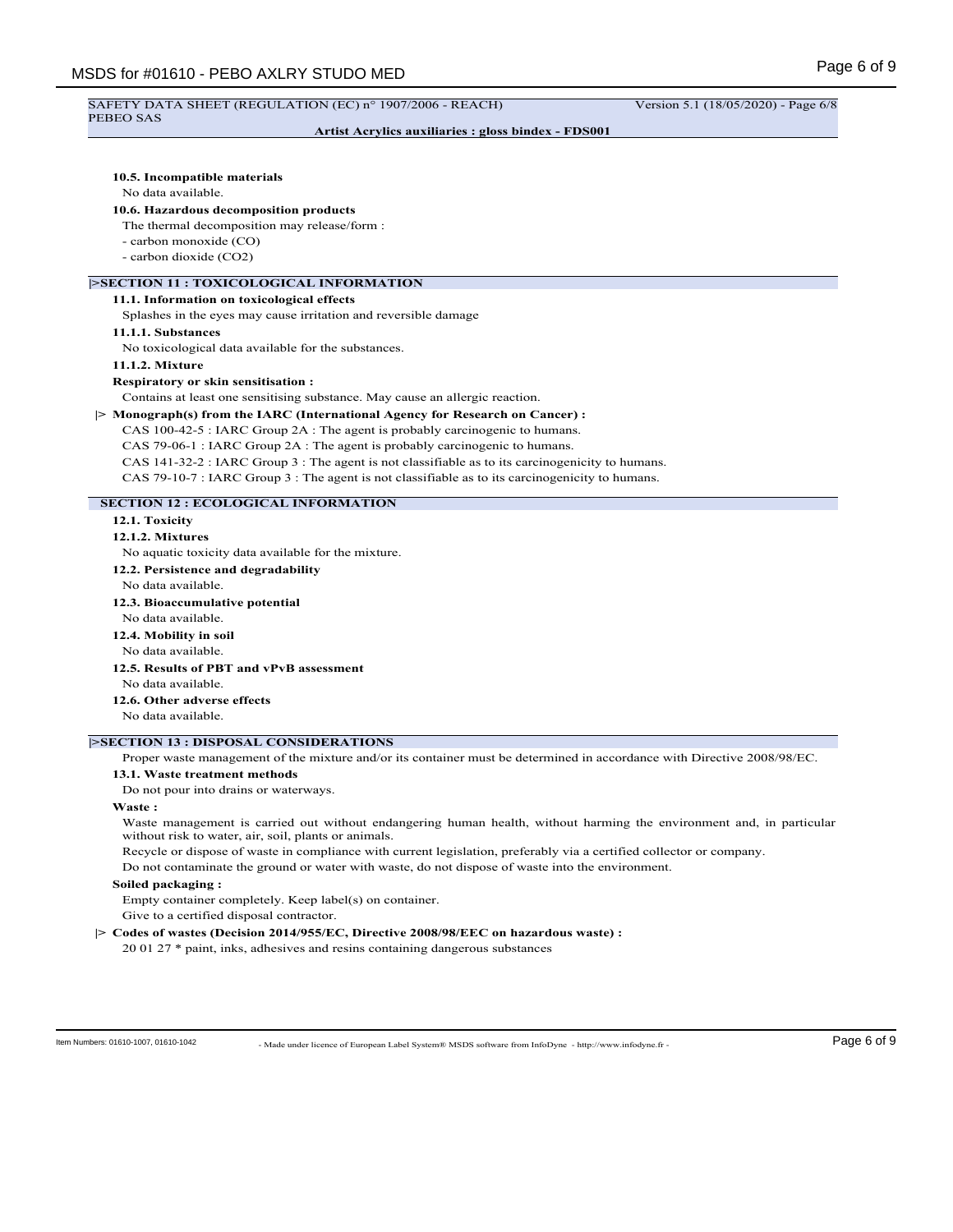#### SAFETY DATA SHEET (REGULATION (EC) n° 1907/2006 - REACH) Version 5.1 (18/05/2020) - Page 6/8 PEBEO SAS

# **Artist Acrylics auxiliaries : gloss bindex - FDS001**

## **10.5. Incompatible materials**

## No data available.

## **10.6. Hazardous decomposition products**

The thermal decomposition may release/form :

- carbon monoxide (CO)
- carbon dioxide (CO2)

# **|>SECTION 11 : TOXICOLOGICAL INFORMATION**

## **11.1. Information on toxicological effects**

Splashes in the eyes may cause irritation and reversible damage

## **11.1.1. Substances**

No toxicological data available for the substances.

# **11.1.2. Mixture**

## **Respiratory or skin sensitisation :**

Contains at least one sensitising substance. May cause an allergic reaction.

## **|> Monograph(s) from the IARC (International Agency for Research on Cancer) :**

CAS 100-42-5 : IARC Group 2A : The agent is probably carcinogenic to humans. CAS 79-06-1 : IARC Group 2A : The agent is probably carcinogenic to humans. CAS 141-32-2 : IARC Group 3 : The agent is not classifiable as to its carcinogenicity to humans.

CAS 79-10-7 : IARC Group 3 : The agent is not classifiable as to its carcinogenicity to humans.

# **SECTION 12 : ECOLOGICAL INFORMATION**

**12.1. Toxicity**

## **12.1.2. Mixtures**

No aquatic toxicity data available for the mixture.

- **12.2. Persistence and degradability**
- No data available.
- **12.3. Bioaccumulative potential**
- No data available.
- **12.4. Mobility in soil** No data available.

# **12.5. Results of PBT and vPvB assessment**

No data available.

# **12.6. Other adverse effects**

No data available.

## **|>SECTION 13 : DISPOSAL CONSIDERATIONS**

Proper waste management of the mixture and/or its container must be determined in accordance with Directive 2008/98/EC.

#### **13.1. Waste treatment methods**

Do not pour into drains or waterways.

#### **Waste :**

Waste management is carried out without endangering human health, without harming the environment and, in particular without risk to water, air, soil, plants or animals.

Recycle or dispose of waste in compliance with current legislation, preferably via a certified collector or company.

Do not contaminate the ground or water with waste, do not dispose of waste into the environment.

## **Soiled packaging :**

Empty container completely. Keep label(s) on container.

Give to a certified disposal contractor.

## **|> Codes of wastes (Decision 2014/955/EC, Directive 2008/98/EEC on hazardous waste) :**

20 01 27 \* paint, inks, adhesives and resins containing dangerous substances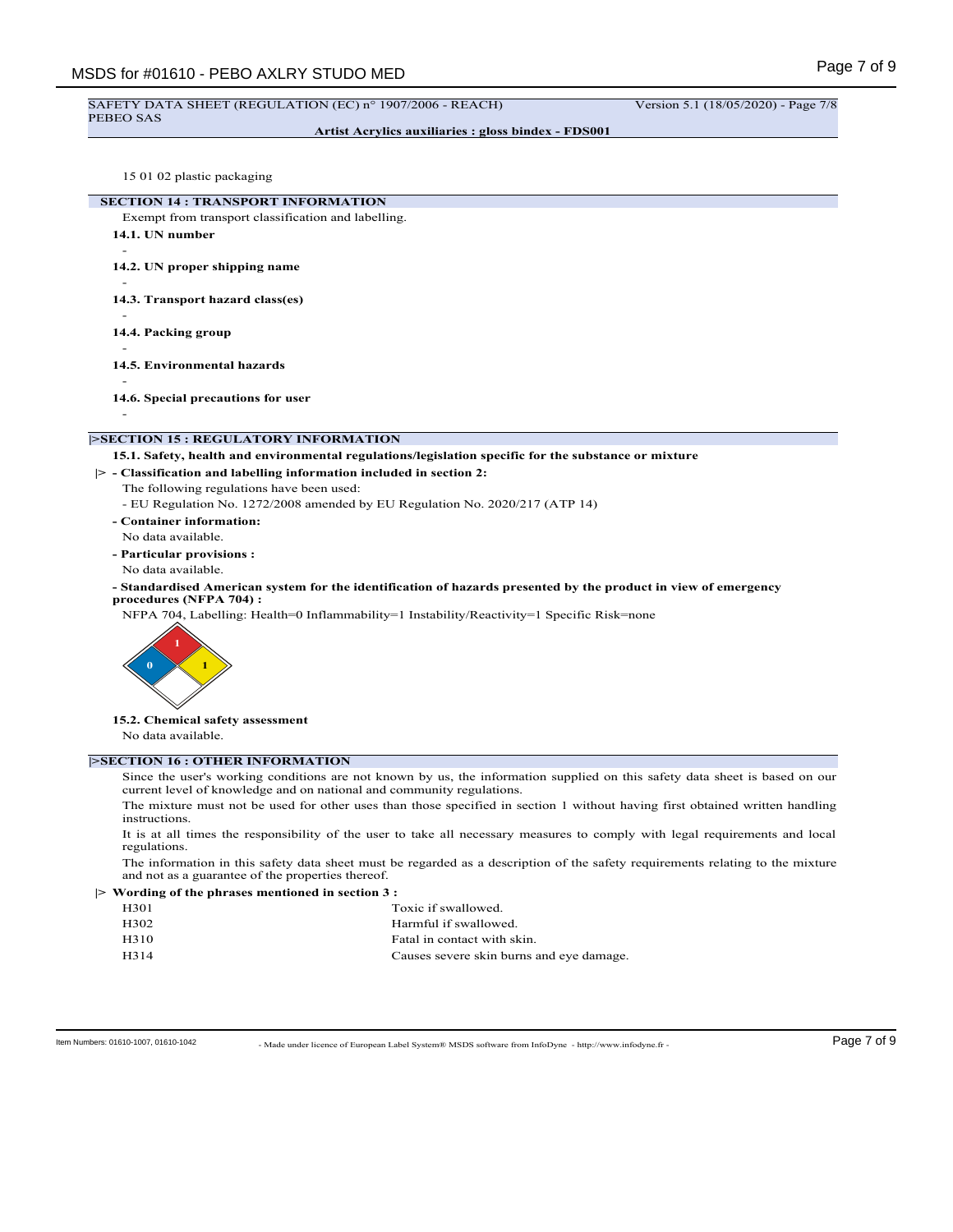#### SAFETY DATA SHEET (REGULATION (EC) n° 1907/2006 - REACH) Version 5.1 (18/05/2020) - Page 7/8 PEBEO SAS

-

-

**Artist Acrylics auxiliaries : gloss bindex - FDS001**

15 01 02 plastic packaging

**SECTION 14 : TRANSPORT INFORMATION**

- Exempt from transport classification and labelling. **14.1. UN number**
- -

**14.2. UN proper shipping name**

**14.3. Transport hazard class(es)**

- **14.4. Packing group**

-

**14.5. Environmental hazards**

**14.6. Special precautions for user**

-

## **|>SECTION 15 : REGULATORY INFORMATION**

**15.1. Safety, health and environmental regulations/legislation specific for the substance or mixture**

**|> - Classification and labelling information included in section 2:**

The following regulations have been used:

- EU Regulation No. 1272/2008 amended by EU Regulation No. 2020/217 (ATP 14)

- **Container information:**
- No data available.
- **Particular provisions :**

No data available.

**- Standardised American system for the identification of hazards presented by the product in view of emergency procedures (NFPA 704) :**

NFPA 704, Labelling: Health=0 Inflammability=1 Instability/Reactivity=1 Specific Risk=none



**15.2. Chemical safety assessment**

No data available.

## **|>SECTION 16 : OTHER INFORMATION**

Since the user's working conditions are not known by us, the information supplied on this safety data sheet is based on our current level of knowledge and on national and community regulations.

The mixture must not be used for other uses than those specified in section 1 without having first obtained written handling instructions.

It is at all times the responsibility of the user to take all necessary measures to comply with legal requirements and local regulations.

The information in this safety data sheet must be regarded as a description of the safety requirements relating to the mixture and not as a guarantee of the properties thereof.

**|> Wording of the phrases mentioned in section 3 :**

| H <sub>301</sub> | Toxic if swallowed.                      |
|------------------|------------------------------------------|
| H302             | Harmful if swallowed.                    |
| H310             | Fatal in contact with skin.              |
| H314             | Causes severe skin burns and eye damage. |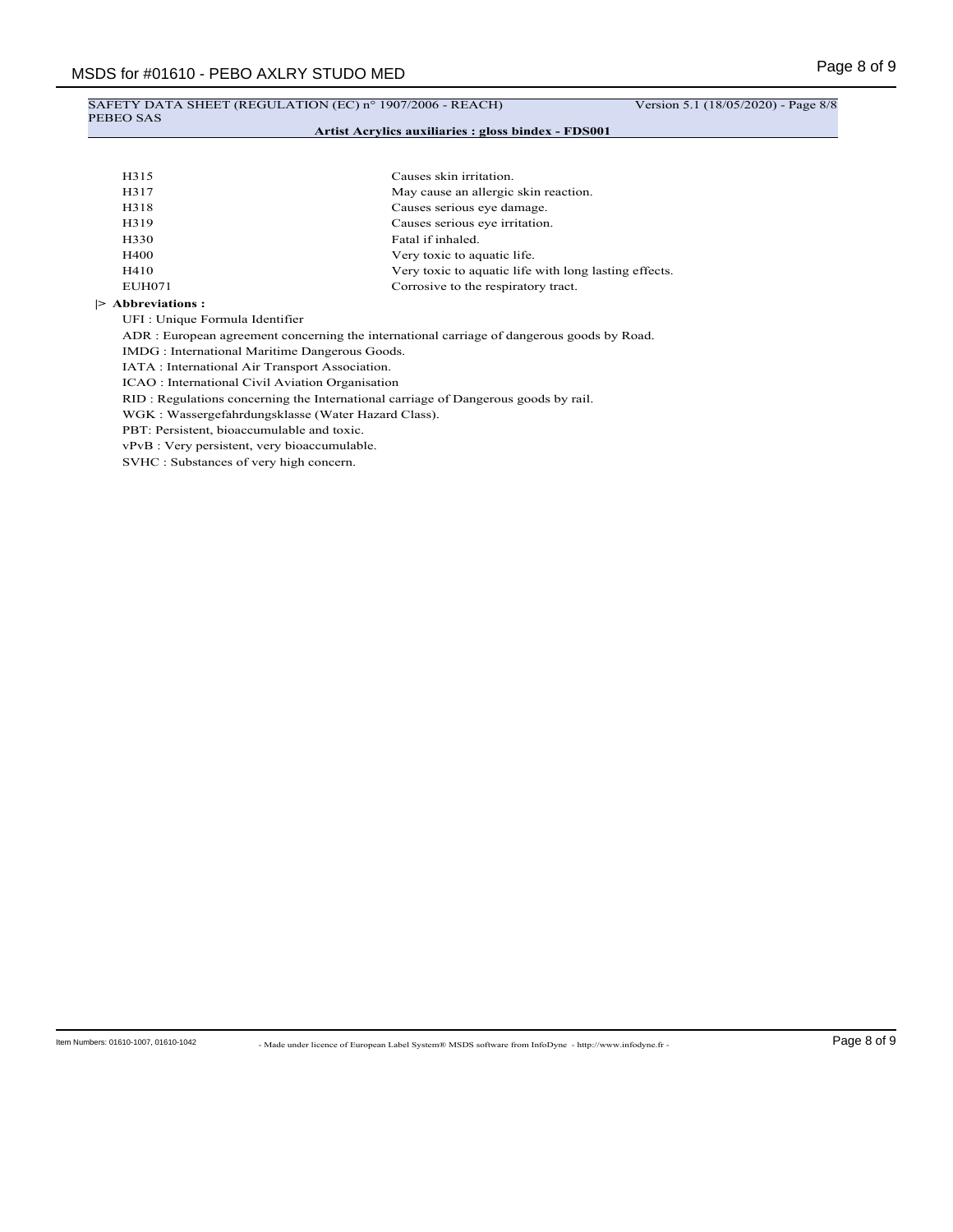## SAFETY DATA SHEET (REGULATION (EC) n° 1907/2006 - REACH) Version 5.1 (18/05/2020) - Page 8/8 PEBEO SAS **Artist Acrylics auxiliaries : gloss bindex - FDS001**

| H315        | Causes skin irritation.                               |
|-------------|-------------------------------------------------------|
| H317        | May cause an allergic skin reaction.                  |
| H318        | Causes serious eye damage.                            |
| H319        | Causes serious eye irritation.                        |
| H330        | Fatal if inhaled.                                     |
| <b>H400</b> | Very toxic to aquatic life.                           |
| H410        | Very toxic to aquatic life with long lasting effects. |
| EUH071      | Corrosive to the respiratory tract.                   |

#### **|> Abbreviations :**

UFI : Unique Formula Identifier

ADR : European agreement concerning the international carriage of dangerous goods by Road.

IMDG : International Maritime Dangerous Goods.

IATA : International Air Transport Association.

ICAO : International Civil Aviation Organisation

RID : Regulations concerning the International carriage of Dangerous goods by rail.

WGK : Wassergefahrdungsklasse (Water Hazard Class).

PBT: Persistent, bioaccumulable and toxic.

vPvB : Very persistent, very bioaccumulable.

SVHC : Substances of very high concern.